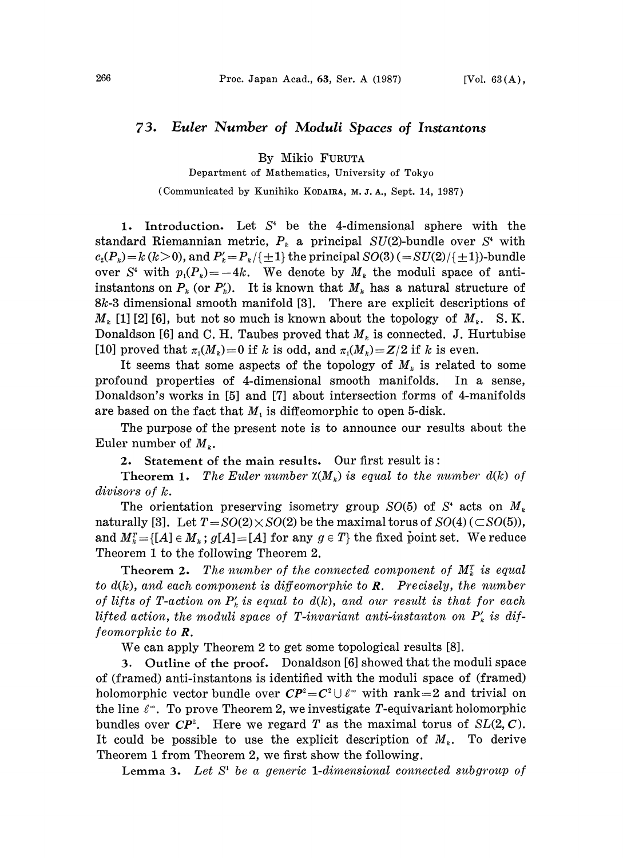## 73. Euler Number of Moduli Spaces of Instantons

By Mikio FURUTA

Department of Mathematics, University of Tokyo.

(Communicated by Kunihiko KODAIRA, M.J.A., Sept. 14, 1987)

1. Introduction. Let  $S<sup>4</sup>$  be the 4-dimensional sphere with the standard Riemannian metric,  $P_k$  a principal SU(2)-bundle over S<sup>4</sup> with  $c_2(P_k) = k (k > 0)$ , and  $P'_k = P_k / {\pm 1}$  the principal  $SO(3) (= SU(2) / {\pm 1})$ -bundle over S<sup>\*</sup> with  $p_1(P_k)=-4k$ . We denote by  $M_k$  the moduli space of antiinstantons on  $P_k$  (or  $P'_k$ ). It is known that  $M_k$  has a natural structure of 8k-3 dimensional smooth manifold [3]. There are explicit descriptions of  $M_k$  [1] [2] [6], but not so much is known about the topology of  $M_k$ . S.K. Donaldson [6] and C. H. Taubes proved that  $M_k$  is connected. J. Hurtubise [10] proved that  $\pi_1(M_k)=0$  if k is odd, and  $\pi_1(M_k)=Z/2$  if k is even.

It seems that some aspects of the topology of  $M_k$  is related to some cound properties of 4-dimensional smooth manifolds. In a sense, profound properties of 4-dimensional smooth manifolds. Donaldson's works in [5] and [7] about intersection forms of 4-manifolds are based on the fact that  $M_1$  is diffeomorphic to open 5-disk.

The purpose of the present note is to announce our results about the Euler number of  $M_k$ .

2. Statement of the main results. Our first result is:

**Theorem 1.** The Euler number  $\mathfrak{X}(M_k)$  is equal to the number  $d(k)$  of divisors of k.

The orientation preserving isometry group  $SO(5)$  of  $S<sup>*</sup>$  acts on  $M_k$ naturally [3]. Let  $T=SO(2)\times SO(2)$  be the maximal torus of  $SO(4)$  ( $\subset SO(5)$ ), and  $M_{k}^{T} = \{ [A] \in M_{k}$ ;  $g[A] = [A]$  for any  $g \in T \}$  the fixed point set. We reduce Theorem 1 to the following Theorem 2.

**Theorem 2.** The number of the connected component of  $M_k^r$  is equal to  $d(k)$ , and each component is diffeomorphic to  $R$ . Precisely, the number of lifts of T-action on  $P'_k$  is equal to  $d(k)$ , and our result is that for each lifted action, the moduli space of T-invariant anti-instanton on  $P'_k$  is diffeomorphic to. R.

We can apply Theorem 2 to get some topological results  $[8]$ .

3. Outline of the proof. Donaldson [6] showed that the moduli space of (framed) anti-instantons is identified with the moduli space of (framed) holomorphic vector bundle over  $\mathbb{CP}^2 = C^2 \cup \ell^{\infty}$  with rank  $=2$  and trivial on the line  $\ell^{\infty}$ . To prove Theorem 2, we investigate T-equivariant holomorphic bundles over  $\mathbb{CP}^2$ . Here we regard T as the maximal torus of  $SL(2, \mathbb{C})$ . It could be possible to use the explicit description of  $M_k$ . To derive Theorem <sup>1</sup> from Theorem 2, we first show the following.

Lemma 3. Let  $S<sup>1</sup>$  be a generic 1-dimensional connected subgroup of